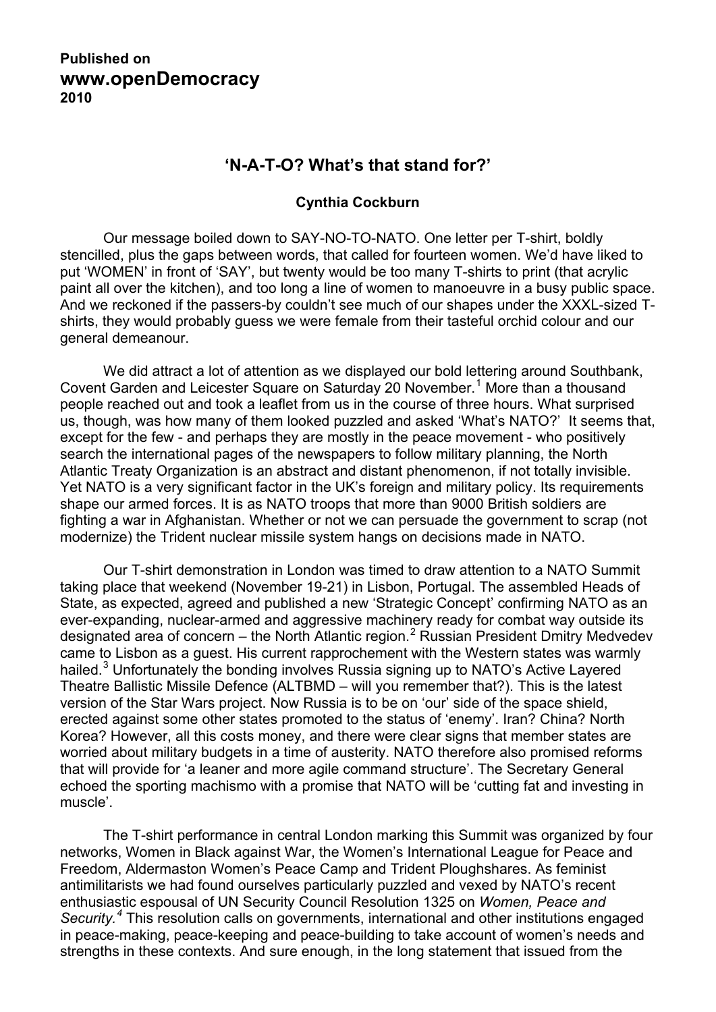## **Published on www.openDemocracy 2010**

## **'N-A-T-O? What's that stand for?'**

## **Cynthia Cockburn**

Our message boiled down to SAY-NO-TO-NATO. One letter per T-shirt, boldly stencilled, plus the gaps between words, that called for fourteen women. We'd have liked to put 'WOMEN' in front of 'SAY', but twenty would be too many T-shirts to print (that acrylic paint all over the kitchen), and too long a line of women to manoeuvre in a busy public space. And we reckoned if the passers-by couldn't see much of our shapes under the XXXL-sized Tshirts, they would probably guess we were female from their tasteful orchid colour and our general demeanour.

We did attract a lot of attention as we displayed our bold lettering around Southbank, Covent Garden and Leicester Square on Saturday 20 November.<sup>[1](#page-2-0)</sup> More than a thousand people reached out and took a leaflet from us in the course of three hours. What surprised us, though, was how many of them looked puzzled and asked 'What's NATO?' It seems that, except for the few - and perhaps they are mostly in the peace movement - who positively search the international pages of the newspapers to follow military planning, the North Atlantic Treaty Organization is an abstract and distant phenomenon, if not totally invisible. Yet NATO is a very significant factor in the UK's foreign and military policy. Its requirements shape our armed forces. It is as NATO troops that more than 9000 British soldiers are fighting a war in Afghanistan. Whether or not we can persuade the government to scrap (not modernize) the Trident nuclear missile system hangs on decisions made in NATO.

Our T-shirt demonstration in London was timed to draw attention to a NATO Summit taking place that weekend (November 19-21) in Lisbon, Portugal. The assembled Heads of State, as expected, agreed and published a new 'Strategic Concept' confirming NATO as an ever-expanding, nuclear-armed and aggressive machinery ready for combat way outside its designated area of concern – the North Atlantic region.<sup>[2](#page-2-0)</sup> Russian President Dmitry Medvedev came to Lisbon as a guest. His current rapprochement with the Western states was warmly hailed.<sup>[3](#page-2-0)</sup> Unfortunately the bonding involves Russia signing up to NATO's Active Layered Theatre Ballistic Missile Defence (ALTBMD – will you remember that?). This is the latest version of the Star Wars project. Now Russia is to be on 'our' side of the space shield, erected against some other states promoted to the status of 'enemy'. Iran? China? North Korea? However, all this costs money, and there were clear signs that member states are worried about military budgets in a time of austerity. NATO therefore also promised reforms that will provide for 'a leaner and more agile command structure'. The Secretary General echoed the sporting machismo with a promise that NATO will be 'cutting fat and investing in muscle'.

The T-shirt performance in central London marking this Summit was organized by four networks, Women in Black against War, the Women's International League for Peace and Freedom, Aldermaston Women's Peace Camp and Trident Ploughshares. As feminist antimilitarists we had found ourselves particularly puzzled and vexed by NATO's recent enthusiastic espousal of UN Security Council Resolution 1325 on *Women, Peace and*  Security.<sup>[4](#page-2-0)</sup> This resolution calls on governments, international and other institutions engaged in peace-making, peace-keeping and peace-building to take account of women's needs and strengths in these contexts. And sure enough, in the long statement that issued from the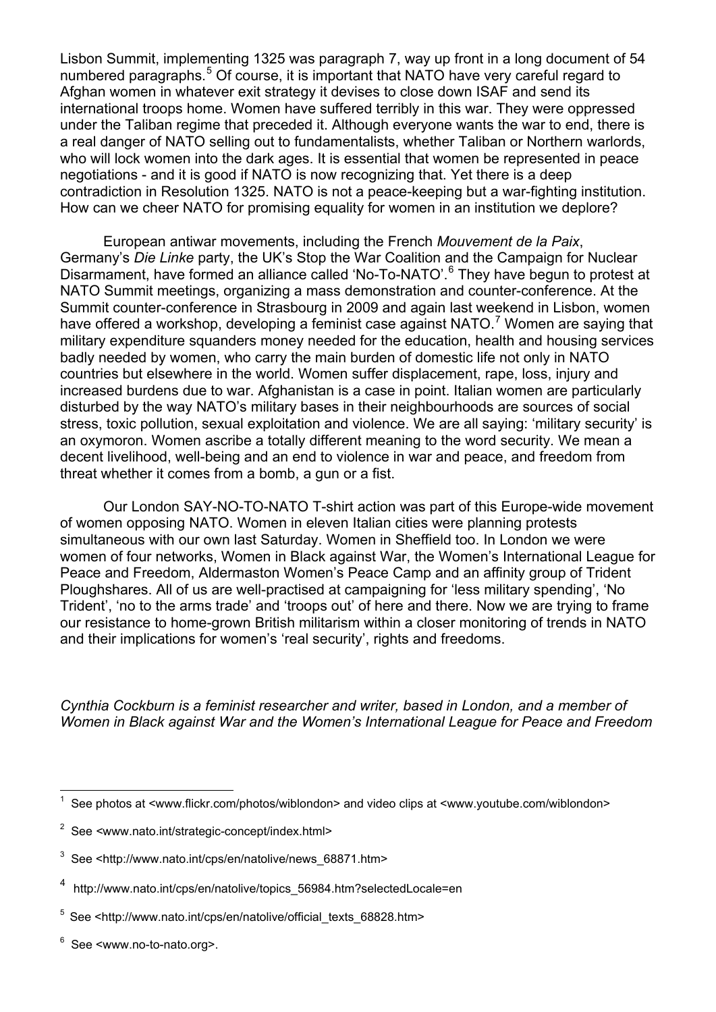Lisbon Summit, implementing 1325 was paragraph 7, way up front in a long document of 54 numbered paragraphs.<sup>[5](#page-2-0)</sup> Of course, it is important that NATO have very careful regard to Afghan women in whatever exit strategy it devises to close down ISAF and send its international troops home. Women have suffered terribly in this war. They were oppressed under the Taliban regime that preceded it. Although everyone wants the war to end, there is a real danger of NATO selling out to fundamentalists, whether Taliban or Northern warlords, who will lock women into the dark ages. It is essential that women be represented in peace negotiations - and it is good if NATO is now recognizing that. Yet there is a deep contradiction in Resolution 1325. NATO is not a peace-keeping but a war-fighting institution. How can we cheer NATO for promising equality for women in an institution we deplore?

European antiwar movements, including the French *Mouvement de la Paix*, Germany's *Die Linke* party, the UK's Stop the War Coalition and the Campaign for Nuclear Disarmament, have formed an alliance called 'No-To-NATO'.<sup>[6](#page-2-1)</sup> They have begun to protest at NATO Summit meetings, organizing a mass demonstration and counter-conference. At the Summit counter-conference in Strasbourg in 2009 and again last weekend in Lisbon, women have offered a workshop, developing a feminist case against NATO.<sup>[7](#page-2-2)</sup> Women are saying that military expenditure squanders money needed for the education, health and housing services badly needed by women, who carry the main burden of domestic life not only in NATO countries but elsewhere in the world. Women suffer displacement, rape, loss, injury and increased burdens due to war. Afghanistan is a case in point. Italian women are particularly disturbed by the way NATO's military bases in their neighbourhoods are sources of social stress, toxic pollution, sexual exploitation and violence. We are all saying: 'military security' is an oxymoron. Women ascribe a totally different meaning to the word security. We mean a decent livelihood, well-being and an end to violence in war and peace, and freedom from threat whether it comes from a bomb, a gun or a fist.

Our London SAY-NO-TO-NATO T-shirt action was part of this Europe-wide movement of women opposing NATO. Women in eleven Italian cities were planning protests simultaneous with our own last Saturday. Women in Sheffield too. In London we were women of four networks, Women in Black against War, the Women's International League for Peace and Freedom, Aldermaston Women's Peace Camp and an affinity group of Trident Ploughshares. All of us are well-practised at campaigning for 'less military spending', 'No Trident', 'no to the arms trade' and 'troops out' of here and there. Now we are trying to frame our resistance to home-grown British militarism within a closer monitoring of trends in NATO and their implications for women's 'real security', rights and freedoms.

*Cynthia Cockburn is a feminist researcher and writer, based in London, and a member of Women in Black against War and the Women's International League for Peace and Freedom* 

l

<sup>1</sup> See photos at <www.flickr.com/photos/wiblondon> and video clips at <www.youtube.com/wiblondon>

<sup>2</sup> See *<*www.nato.int/strategic-concept/index.html>

<sup>3</sup> See <http://www.nato.int/cps/en/natolive/news\_68871.htm>

<sup>4</sup> http://www.nato.int/cps/en/natolive/topics\_56984.htm?selectedLocale=en

 $5$  See <http://www.nato.int/cps/en/natolive/official\_texts\_68828.htm>

<sup>6</sup> See <www.no-to-nato.org>.